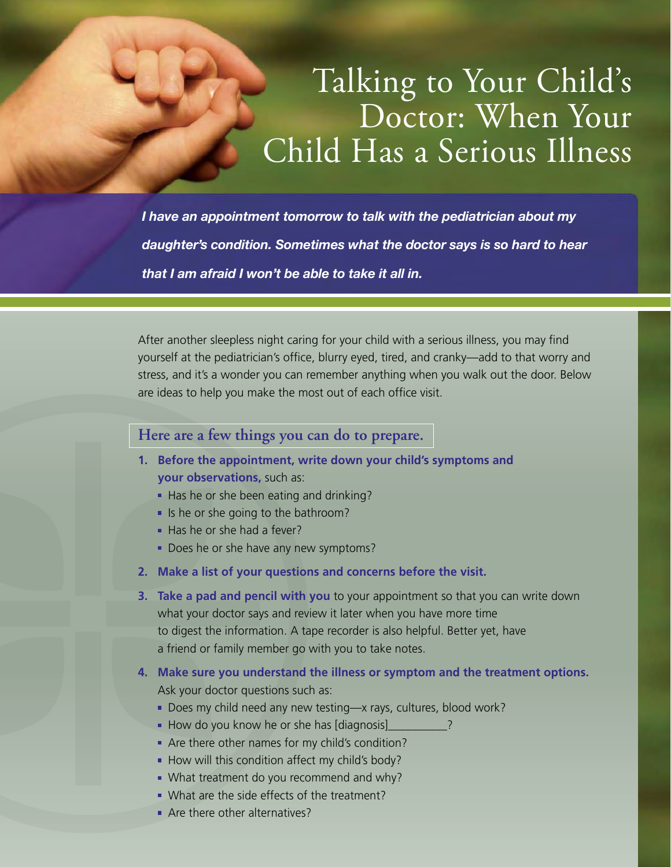## Talking to Your Child's Doctor: When Your Child Has a Serious Illness

*I have an appointment tomorrow to talk with the pediatrician about my daughter's condition. Sometimes what the doctor says is so hard to hear that I am afraid I won't be able to take it all in.*

After another sleepless night caring for your child with a serious illness, you may find yourself at the pediatrician's office, blurry eyed, tired, and cranky—add to that worry and stress, and it's a wonder you can remember anything when you walk out the door. Below are ideas to help you make the most out of each office visit.

## **Here are a few things you can do to prepare.**

- **1. Before the appointment, write down your child's symptoms and your observations,** such as:
	- Has he or she been eating and drinking?
	- $\blacksquare$  Is he or she going to the bathroom?
	- Has he or she had a fever?
	- Does he or she have any new symptoms?
- **2. Make a list of your questions and concerns before the visit.**
- **3. Take a pad and pencil with you** to your appointment so that you can write down what your doctor says and review it later when you have more time to digest the information. A tape recorder is also helpful. Better yet, have a friend or family member go with you to take notes.
- **4. Make sure you understand the illness or symptom and the treatment options.** Ask your doctor questions such as:
	- Does my child need any new testing—x rays, cultures, blood work?
	- How do you know he or she has [diagnosis]
	- Are there other names for my child's condition?
	- $\blacksquare$  How will this condition affect my child's body?
	- What treatment do you recommend and why?
	- What are the side effects of the treatment?
	- **Are there other alternatives?**